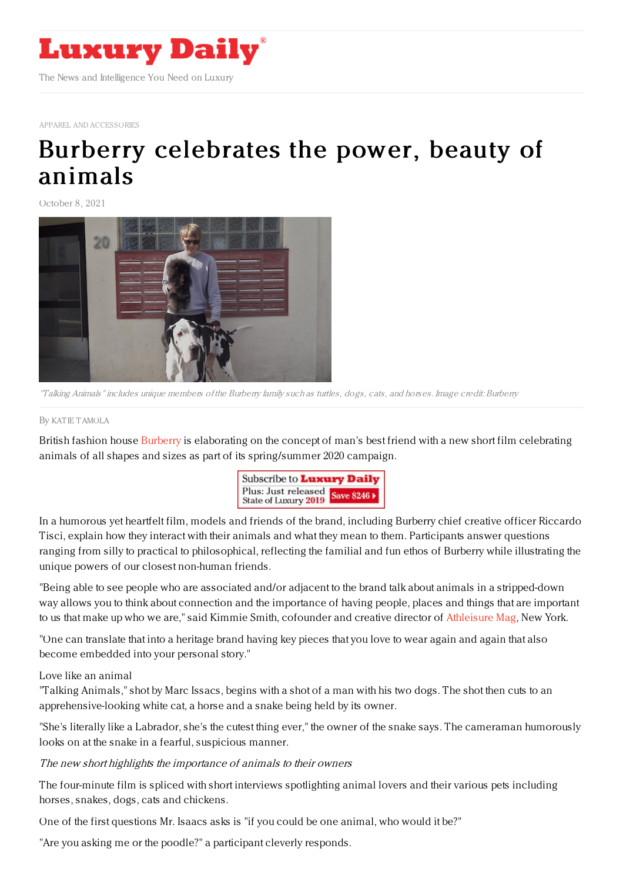

APPAREL AND [ACCESSORIES](https://www.luxurydaily.com/category/sectors/apparel-and-accessories/)

## Burberry [celebrates](https://www.luxurydaily.com/burberry-talking-animals/) the power, beauty of animals

October 8, 2021



"Talking Animals"includes unique members of the Burberry family such as turtles, dogs, cats, and horses. Image credit: Burberry

## By KAT IE [TAMOLA](file:///author/katie-tamola)

British fashion house [Burberry](https://us.burberry.com/) is elaborating on the concept of man's best friend with a new short film celebrating animals of all shapes and sizes as part of its spring/summer 2020 campaign.



In a humorous yet heartfelt film, models and friends of the brand, including Burberry chief creative officer Riccardo Tisci, explain how they interact with their animals and what they mean to them. Participants answer questions ranging from silly to practical to philosophical, reflecting the familial and fun ethos of Burberry while illustrating the unique powers of our closest non-human friends.

"Being able to see people who are associated and/or adjacent to the brand talk about animals in a stripped-down way allows you to think about connection and the importance of having people, places and things that are important to us that make up who we are," said Kimmie Smith, cofounder and creative director of [Athleisure](http://www.athleisuremag.com/) Mag, New York.

"One can translate that into a heritage brand having key pieces that you love to wear again and again that also become embedded into your personal story."

## Love like an animal

"Talking Animals," shot by Marc Issacs, begins with a shot of a man with his two dogs. The shot then cuts to an apprehensive-looking white cat, a horse and a snake being held by its owner.

"She's literally like a Labrador, she's the cutest thing ever," the owner of the snake says. The cameraman humorously looks on at the snake in a fearful, suspicious manner.

## The new short highlights the importance of animals to their owners

The four-minute film is spliced with short interviews spotlighting animal lovers and their various pets including horses, snakes, dogs, cats and chickens.

One of the first questions Mr. Isaacs asks is "if you could be one animal, who would it be?"

"Are you asking me or the poodle?" a participant cleverly responds.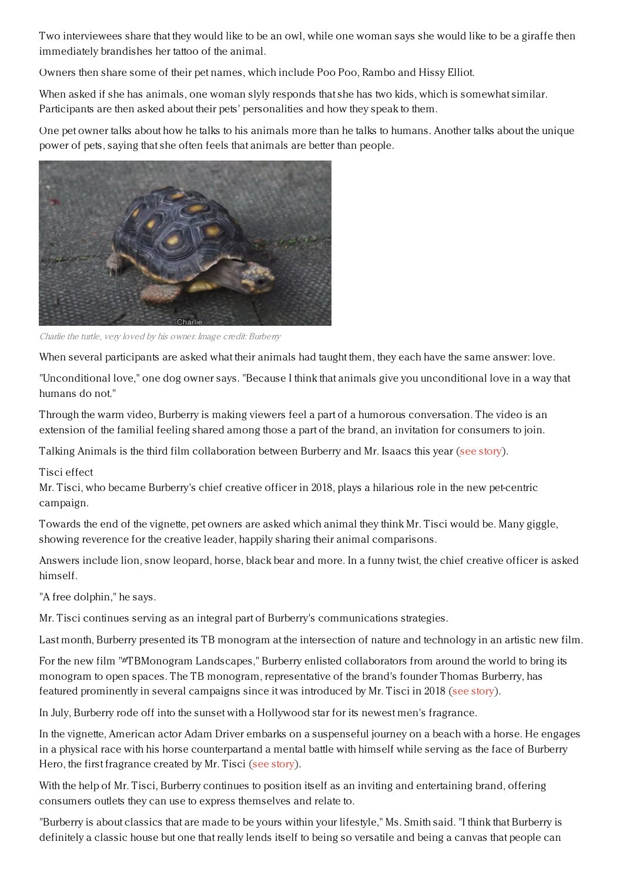Two interviewees share that they would like to be an owl, while one woman says she would like to be a giraffe then immediately brandishes her tattoo of the animal.

Owners then share some of their pet names, which include Poo Poo, Rambo and Hissy Elliot.

When asked if she has animals, one woman slyly responds that she has two kids, which is somewhat similar. Participants are then asked about their pets' personalities and how they speak to them.

One pet owner talks about how he talks to his animals more than he talks to humans. Another talks about the unique power of pets, saying that she often feels that animals are better than people.



Charlie the turtle, very loved by his owner. Image credit: Burberry

When several participants are asked what their animals had taught them, they each have the same answer: love.

"Unconditional love," one dog owner says. "Because I think that animals give you unconditional love in a way that humans do not."

Through the warm video, Burberry is making viewers feel a part of a humorous conversation. The video is an extension of the familial feeling shared among those a part of the brand, an invitation for consumers to join.

Talking Animals is the third film collaboration between Burberry and Mr. Isaacs this year (see [story](https://www.luxurydaily.com/burberry-gets-to-know-its-creative-director-in-inquisitive-video/)).

Tisci effect

Mr. Tisci, who became Burberry's chief creative officer in 2018, plays a hilarious role in the new pet-centric campaign.

Towards the end of the vignette, pet owners are asked which animal they think Mr. Tisci would be. Many giggle, showing reverence for the creative leader, happily sharing their animal comparisons.

Answers include lion, snow leopard, horse, black bear and more. In a funny twist, the chief creative officer is asked himself.

"A free dolphin," he says.

Mr. Tisci continues serving as an integral part of Burberry's communications strategies.

Last month, Burberry presented its TB monogram at the intersection of nature and technology in an artistic new film.

For the new film "#TBMonogram Landscapes," Burberry enlisted collaborators from around the world to bring its monogram to open spaces. The TB monogram, representative of the brand's founder Thomas Burberry, has featured prominently in several campaigns since it was introduced by Mr. Tisci in 2018 (see [story](https://www.luxurydaily.com/burberry-tb-monogram-landscapes/)).

In July, Burberry rode off into the sunset with a Hollywood star for its newest men's fragrance.

In the vignette, American actor Adam Driver embarks on a suspenseful journey on a beach with a horse. He engages in a physical race with his horse counterpartand a mental battle with himself while serving as the face of Burberry Hero, the first fragrance created by Mr. Tisci (see [story](https://www.luxurydaily.com/burberry-hero-adam-driver/)).

With the help of Mr. Tisci, Burberry continues to position itself as an inviting and entertaining brand, offering consumers outlets they can use to express themselves and relate to.

"Burberry is about classics that are made to be yours within your lifestyle," Ms. Smith said. "I think that Burberry is definitely a classic house but one that really lends itself to being so versatile and being a canvas that people can